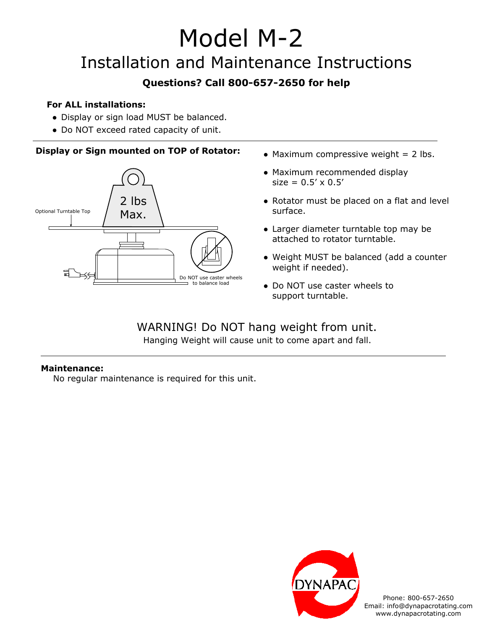# Model M-2

## Installation and Maintenance Instructions

### **Questions? Call 800-657-2650 for help**

#### **For ALL installations:**

- Display or sign load MUST be balanced.
- Do NOT exceed rated capacity of unit.

#### **Display or Sign mounted on TOP of Rotator:** • Maximum compressive weight = 2 lbs.



- 
- Maximum recommended display  $size = 0.5' \times 0.5'$
- Rotator must be placed on a flat and level surface.
- Larger diameter turntable top may be attached to rotator turntable.
- Weight MUST be balanced (add a counter weight if needed).
- Do NOT use caster wheels to support turntable.

### WARNING! Do NOT hang weight from unit.

Hanging Weight will cause unit to come apart and fall.

#### **Maintenance:**

No regular maintenance is required for this unit.